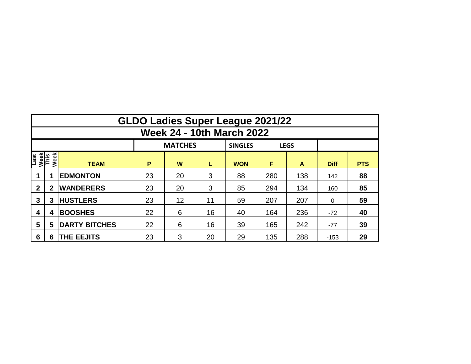|                              | <b>GLDO Ladies Super League 2021/22</b> |                      |    |                |    |                |     |             |             |            |  |  |  |
|------------------------------|-----------------------------------------|----------------------|----|----------------|----|----------------|-----|-------------|-------------|------------|--|--|--|
|                              | <b>Week 24 - 10th March 2022</b>        |                      |    |                |    |                |     |             |             |            |  |  |  |
|                              |                                         |                      |    | <b>MATCHES</b> |    | <b>SINGLES</b> |     | <b>LEGS</b> |             |            |  |  |  |
| Last<br>Week<br>This<br>Week |                                         | <b>TEAM</b>          | P  | W              | L  | <b>WON</b>     | F   | A           | <b>Diff</b> | <b>PTS</b> |  |  |  |
|                              | 1                                       | <b>EDMONTON</b>      | 23 | 20             | 3  | 88             | 280 | 138         | 142         | 88         |  |  |  |
| $\mathbf 2$                  | $\mathbf 2$                             | <b>WANDERERS</b>     | 23 | 20             | 3  | 85             | 294 | 134         | 160         | 85         |  |  |  |
| 3                            | 3                                       | <b>HUSTLERS</b>      | 23 | 12             | 11 | 59             | 207 | 207         | $\Omega$    | 59         |  |  |  |
| 4                            | 4                                       | <b>BOOSHES</b>       | 22 | 6              | 16 | 40             | 164 | 236         | $-72$       | 40         |  |  |  |
| 5                            | 5                                       | <b>DARTY BITCHES</b> | 22 | 6              | 16 | 39             | 165 | 242         | $-77$       | 39         |  |  |  |
| 6                            | 6                                       | THE EEJITS           | 23 | 3              | 20 | 29             | 135 | 288         | $-153$      | 29         |  |  |  |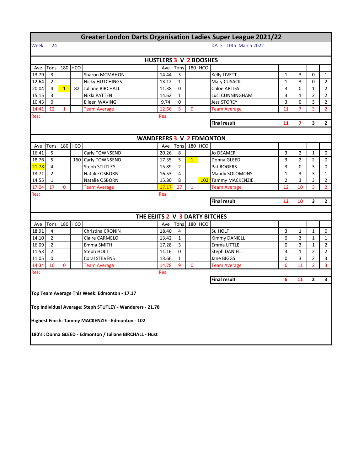|       | <b>Greater London Darts Organisation Ladies Super League 2021/22</b> |                |         |                                                           |  |       |                |                                                             |         |                                         |                |                |                |                |
|-------|----------------------------------------------------------------------|----------------|---------|-----------------------------------------------------------|--|-------|----------------|-------------------------------------------------------------|---------|-----------------------------------------|----------------|----------------|----------------|----------------|
| Week  | 24                                                                   |                |         |                                                           |  |       |                |                                                             |         | DATE 10th March 2022                    |                |                |                |                |
|       | HUSTLERS 3 V 2 BOOSHES                                               |                |         |                                                           |  |       |                |                                                             |         |                                         |                |                |                |                |
| Ave   | Tons                                                                 |                | 180 HCO |                                                           |  | Ave   | Tons           |                                                             | 180 HCO |                                         |                |                |                |                |
| 13.79 | 3                                                                    |                |         | Sharon MCMAHON                                            |  | 14.44 | 3              |                                                             |         | Kelly LIVETT                            | $\mathbf{1}$   | 3              | 0              | $\mathbf{1}$   |
| 12.64 | $\overline{2}$                                                       |                |         | <b>Nicky HUTCHINGS</b>                                    |  | 13.12 | $\mathbf{1}$   |                                                             |         | Mary CUSACK                             | 1              | 3              | 0              | $\overline{2}$ |
| 20.04 | 4                                                                    | $\overline{1}$ | 82      | Juliane BIRCHALL                                          |  | 11.38 | 0              |                                                             |         | <b>Chloe ARTISS</b><br>3<br>0<br>1<br>2 |                |                |                |                |
| 15.15 | 3                                                                    |                |         | Nikki PATTEN                                              |  | 14.62 | $\mathbf{1}$   | $\overline{2}$<br>Luci CUNNINGHAM<br>3<br>$\mathbf{1}$<br>2 |         |                                         |                |                |                |                |
| 10.43 | 0                                                                    |                |         | Eileen WAVING                                             |  | 9.74  | 0              |                                                             |         | <b>Jess STOREY</b>                      | 3              | 0              | 3              | 2              |
| 14.41 | 12                                                                   | $\mathbf{1}$   |         | <b>Team Average</b>                                       |  | 12.66 | 5              | 0                                                           |         | <b>Team Average</b>                     | 11             | 7              | 3              | $\overline{2}$ |
| Res:  | Res:                                                                 |                |         |                                                           |  |       |                |                                                             |         |                                         |                |                |                |                |
|       |                                                                      |                |         |                                                           |  |       |                |                                                             |         | <b>Final result</b>                     | 11             | 7              | 3              | $\mathbf{2}$   |
|       |                                                                      |                |         |                                                           |  |       |                |                                                             |         |                                         |                |                |                |                |
|       | <b>WANDERERS 3 V 2 EDMONTON</b>                                      |                |         |                                                           |  |       |                |                                                             |         |                                         |                |                |                |                |
| Ave   | Tons                                                                 |                | 180 HCO |                                                           |  | Ave   | Tons           |                                                             | 180 HCO |                                         |                |                |                |                |
| 16.41 | 5                                                                    |                |         | Carly TOWNSEND                                            |  | 20.26 | 8              |                                                             |         | <b>Jo DEAMER</b>                        | 3              | 2              | 1              | 0              |
| 18.76 | 5                                                                    |                |         | 160 Carly TOWNSEND                                        |  | 17.35 | 5              | $\overline{1}$                                              |         | Donna GLEED                             | 3              | $\overline{2}$ | $\overline{2}$ | 0              |
| 21.78 | 4                                                                    |                |         | <b>Steph STUTLEY</b>                                      |  | 15.89 | $\overline{2}$ |                                                             |         | Pat ROGERS                              | 3              | 0              | 3              | 0              |
| 13.71 | $\overline{2}$                                                       |                |         | Natalie OSBORN                                            |  | 16.53 | $\overline{4}$ |                                                             |         | Mandy SOLOMONS                          | 1              | 3              | 3              | 1              |
| 14.55 | $\mathbf{1}$                                                         |                |         | Natalie OSBORN                                            |  | 15.80 | 8              |                                                             |         | 102 Tammy MACKENZIE                     | $\overline{2}$ | 3              | 3              | $\overline{2}$ |
| 17.04 | 17                                                                   | $\mathbf 0$    |         | <b>Team Average</b>                                       |  | 17.17 | 27             | 1                                                           |         | <b>Team Average</b>                     | 12             | 10             | 3              | $\overline{2}$ |
| Res:  |                                                                      |                |         |                                                           |  | Res:  |                |                                                             |         |                                         |                |                |                |                |
|       |                                                                      |                |         |                                                           |  |       |                |                                                             |         | <b>Final result</b>                     | 12             | 10             | 3              | $\overline{2}$ |
|       |                                                                      |                |         |                                                           |  |       |                |                                                             |         |                                         |                |                |                |                |
|       |                                                                      |                |         |                                                           |  |       |                |                                                             |         | THE EEJITS 2 V 3 DARTY BITCHES          |                |                |                |                |
| Ave   | Tons                                                                 |                | 180 HCO |                                                           |  | Ave   | Tons           |                                                             | 180 HCO |                                         |                |                |                |                |
| 18.91 | 4                                                                    |                |         | Christina CRONIN                                          |  | 18.40 | 4              |                                                             |         | Su HOLT                                 | 3              | $\mathbf 1$    | 1              | 0              |
| 14.10 | 2                                                                    |                |         | Claire CARMELO                                            |  | 13.42 | $\mathbf{1}$   |                                                             |         | Kimmy DANIELL                           | 0              | 3              | 1              | $\mathbf{1}$   |
| 16.09 | 2                                                                    |                |         | Emma SMITH                                                |  | 17.28 | 3              |                                                             |         | Emma LITTLE                             | 0              | 3              | 1              | 2              |
| 11.53 | $\overline{2}$                                                       |                |         | Steph HOLT                                                |  | 11.16 | 0              |                                                             |         | <b>Steph DANIELL</b>                    | 3              | $\mathbf{1}$   | $\overline{2}$ | $\overline{2}$ |
| 11.05 | 0                                                                    |                |         | Coral STEVENS                                             |  | 13.66 | $\mathbf{1}$   |                                                             |         | Jane BIGGS                              | 0              | 3              | $\overline{2}$ | 3              |
| 14.34 | 10                                                                   | 0              |         | <b>Team Average</b>                                       |  | 14.78 | 9              | 0                                                           |         | <b>Team Average</b>                     | 6              | 11             | 2              | 3              |
| Res:  |                                                                      |                |         |                                                           |  | Res:  |                |                                                             |         |                                         |                |                |                |                |
|       |                                                                      |                |         |                                                           |  |       |                |                                                             |         | <b>Final result</b>                     | 6              | 11             | $\overline{2}$ | 3              |
|       |                                                                      |                |         |                                                           |  |       |                |                                                             |         |                                         |                |                |                |                |
|       |                                                                      |                |         | Top Team Average This Week: Edmonton - 17.17              |  |       |                |                                                             |         |                                         |                |                |                |                |
|       |                                                                      |                |         |                                                           |  |       |                |                                                             |         |                                         |                |                |                |                |
|       |                                                                      |                |         | Top Individual Average: Steph STUTLEY - Wanderers - 21.78 |  |       |                |                                                             |         |                                         |                |                |                |                |
|       |                                                                      |                |         |                                                           |  |       |                |                                                             |         |                                         |                |                |                |                |
|       |                                                                      |                |         | Highest Finish: Tammy MACKENZIE - Edmonton - 102          |  |       |                |                                                             |         |                                         |                |                |                |                |
|       |                                                                      |                |         | 180's : Donna GLEED - Edmonton / Juliane BIRCHALL - Hust  |  |       |                |                                                             |         |                                         |                |                |                |                |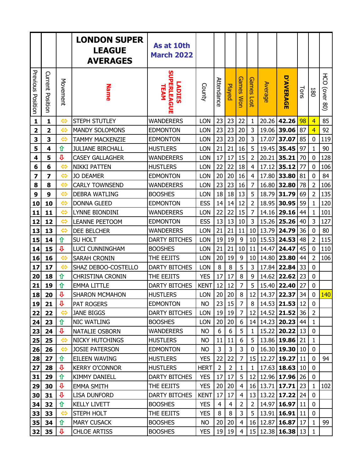|                          |                         |                    | <b>LONDON SUPER</b><br><b>LEAGUE</b><br><b>AVERAGES</b> | As at 10th<br><b>March 2022</b>            |             |                |                |                  |                 |                |                                    |      |                |                             |
|--------------------------|-------------------------|--------------------|---------------------------------------------------------|--------------------------------------------|-------------|----------------|----------------|------------------|-----------------|----------------|------------------------------------|------|----------------|-----------------------------|
| <b>Previous Position</b> | Current Position        | Movement           | <b>Name</b>                                             | <b>SUPERLEAGUE</b><br><b>ADIES</b><br>TEAM | County      | Attendance     | <b>Payed</b>   | <b>Games Wor</b> | Games<br>1507   | <b>Average</b> | <b>D'AVERAGE</b>                   | Tons | 180            | $\overline{5}$<br>(over 80) |
| $\mathbf{1}$             | $\mathbf{1}$            | $\Leftrightarrow$  | <b>STEPH STUTLEY</b>                                    | <b>WANDERERS</b>                           | LON         | 23             | 23             | 22               | 1               | 20.26          | 42.26                              | 98   | $\overline{4}$ | 85                          |
| 2                        | $\overline{\mathbf{2}}$ | $\Leftrightarrow$  | <b>MANDY SOLOMONS</b>                                   | <b>EDMONTON</b>                            | LON         | 23             | 23             | 20               | 3               | 19.06          | 39.06                              | 87   | $\overline{4}$ | 92                          |
| 3                        | 3                       | $\Leftrightarrow$  | <b>TAMMY MACKENZIE</b>                                  | <b>EDMONTON</b>                            | LON         | 23             | 23             | 20               | 3               | 17.07          | 37.07                              | 85   | 0              | 119                         |
| 5                        | 4                       | 仚                  | <b>JULIANE BIRCHALL</b>                                 | <b>HUSTLERS</b>                            | LON         | 21             | 21             | 16               | 5               | 19.45          | 35.45                              | 97   | $\mathbf{1}$   | 90                          |
| 4                        | 5                       | $\hat{\mathbf{r}}$ | <b>CASEY GALLAGHER</b>                                  | <b>WANDERERS</b>                           | LON         | 17             | 17             | 15               | 2               | 20.21          | 35.21                              | 70   | 0              | 128                         |
| 6                        | 6                       | $\Leftrightarrow$  | <b>NIKKI PATTEN</b>                                     | <b>HUSTLERS</b>                            | LON         | 22             | 22             | 18               | $\overline{4}$  | 17.12          | 35.12                              | 77   | $\mathbf 0$    | 106                         |
| 7                        | 7                       | $\Leftrightarrow$  | <b>JO DEAMER</b>                                        | <b>EDMONTON</b>                            | LON         | 20             | 20             | 16               | $\overline{4}$  | 17.80          | 33.80                              | 81   | 0              | 84                          |
| 8                        | 8                       | $\Leftrightarrow$  | <b>CARLY TOWNSEND</b>                                   | <b>WANDERERS</b>                           | LON         | 23             | 23             | 16               | $\overline{7}$  | 16.80          | 32.80                              | 78   | $\overline{2}$ | 106                         |
| 9                        | 9                       | $\Leftrightarrow$  | <b>DEBRA WATLING</b>                                    | <b>BOOSHES</b>                             | LON         | 18             | 18             | 13               | 5               | 18.79          | 31.79                              | 69   | $\overline{2}$ | 135                         |
| 10                       | 10                      | $\Leftrightarrow$  | <b>DONNA GLEED</b>                                      | <b>EDMONTON</b>                            | <b>ESS</b>  | 14             | 14             | 12               | $\overline{2}$  | 18.95          | 30.95                              | 59   | $\mathbf{1}$   | 120                         |
| 11                       | 11                      | $\Leftrightarrow$  | LYNNE BIONDINI                                          | <b>WANDERERS</b>                           | LON         | 22             | 22             | 15               | $\overline{7}$  | 14.16          | 29.16                              | 44   | 1              | 101                         |
| 12                       | 12                      | $\Leftrightarrow$  | <b>LEANNE PEETOOM</b>                                   | <b>EDMONTON</b>                            | <b>ESS</b>  | 13             | 13             | 10               | 3               | 15.26          | 25.26                              | 40   | 3              | 127                         |
| 13                       | 13                      | $\Leftrightarrow$  | <b>DEE BELCHER</b>                                      | <b>WANDERERS</b>                           | LON         | 21             | 21             | 11               | 10              | 13.79          | 24.79                              | 36   | $\mathbf 0$    | 80                          |
| 15                       | 14                      | 仚                  | SU HOLT                                                 | <b>DARTY BITCHES</b>                       | LON         | 19             | 19             | 9                | 10              | 15.53          | 24.53                              | 48   | $\overline{2}$ | 115                         |
| 14                       | 15                      | $\mathbf{\hat{u}}$ | LUCI CUNNINGHAM                                         | <b>BOOSHES</b>                             | LON         | 21             | 21             | 10               | 11              | 14.47          | 24.47                              | 45   | $\mathbf 0$    | 110                         |
| 16                       | 16                      | $\Leftrightarrow$  | <b>SARAH CRONIN</b>                                     | THE EEJITS                                 | LON         | 20             | 19             | 9                | 10              | 14.80          | 23.80                              | 44   | $\overline{2}$ | 106                         |
| 17                       | 17                      | $\Leftrightarrow$  | SHAZ DEBOO-COSTELLO                                     | <b>DARTY BITCHES</b>                       | LON         | 8              | 8              | 5                | 3               | 17.84          | 22.84                              | 33   | $\mathbf 0$    |                             |
| 20                       | 18                      | 仚                  | <b>CHRISTINA CRONIN</b>                                 | THE EEJITS                                 | <b>YES</b>  | 17             | 17             | 8                | 9               | 14.62          | 22.62                              | 23   | 0              |                             |
| 21                       | 19                      | 仚                  | <b>EMMA LITTLE</b>                                      | <b>DARTY BITCHES</b>                       | <b>KENT</b> | 12             | 12             | 7                | 5               | 15.40          | 22.40                              | 27   | 0              |                             |
| 18                       | 20                      | ⇩                  | <b>SHARON MCMAHON</b>                                   | <b>HUSTLERS</b>                            | LON         | 20             | 20             | 8                | 12              | 14.37          | 22.37                              | 34   | 0              | <b>140</b>                  |
| 19                       | 21                      | ⇩                  | <b>PAT ROGERS</b>                                       | <b>EDMONTON</b>                            | <b>NO</b>   |                | 23 15          | $\overline{7}$   | 8               |                | 14.53 21.53                        | 12   | $\mathbf 0$    |                             |
| 22                       | 22                      | $\Leftrightarrow$  | <b>JANE BIGGS</b>                                       | <b>DARTY BITCHES</b>                       | LON         | 19             | 19             | $\overline{7}$   | 12              |                | 14.52 21.52                        | 36   | $\overline{2}$ |                             |
| 24                       | 23                      | 仚                  | <b>NIC WATLING</b>                                      | <b>BOOSHES</b>                             | <b>LON</b>  | 20             | 20             | 6                | 14 <sub>1</sub> |                | 14.23 20.23                        | 44   | $\mathbf{1}$   |                             |
| 23                       | 24                      | $\mathbf{\hat{u}}$ | NATALIE OSBORN                                          | <b>WANDERERS</b>                           | <b>NO</b>   | 6              | 6              | 5                | $\mathbf{1}$    |                | 15.22 20.22                        | 13   | 0              |                             |
| 25                       | 25                      | $\Leftrightarrow$  | <b>NICKY HUTCHINGS</b>                                  | <b>HUSTLERS</b>                            | <b>NO</b>   | 11             | 11             | 6                | 5               |                | 13.86 19.86                        | 21   | 1              |                             |
| 26                       | 26                      | $\Leftrightarrow$  | <b>JOSIE PATERSON</b>                                   | <b>EDMONTON</b>                            | <b>NO</b>   | 3              | $\mathsf{3}$   | 3                | $\mathbf{0}$    |                | 16.30 19.30                        | 10   | $\mathbf 0$    |                             |
| 28                       | 27                      | 仚                  | EILEEN WAVING                                           | <b>HUSTLERS</b>                            | <b>YES</b>  | 22             | 22             | 7                |                 |                | 15 12.27 19.27                     | 11   | 0              | 94                          |
| 27                       | 28                      | ⇩                  | <b>KERRY O'CONNOR</b>                                   | <b>HUSTLERS</b>                            | <b>HERT</b> | $\overline{2}$ | $\overline{2}$ | 1                | $\mathbf{1}$    |                | 17.63 18.63                        | 10   | 0              |                             |
| 31                       | 29                      | 仚                  | <b>KIMMY DANIELL</b>                                    | <b>DARTY BITCHES</b>                       | <b>YES</b>  | 17             | 17             | 5                | 12              |                | 12.96 17.96                        | 26   | 0              |                             |
| 29                       | 30                      | ⇩                  | <b>EMMA SMITH</b>                                       | THE EEJITS                                 | <b>YES</b>  | 20             | 20             | $\overline{4}$   |                 |                | 16 13.71 17.71                     | 23   | 1              | 102                         |
| 30                       | 31                      | $\hat{\mathbf{r}}$ | <b>LISA DUNFORD</b>                                     | <b>DARTY BITCHES</b>                       | <b>KENT</b> | 17             | 17             | $\overline{4}$   | 13              |                | 13.22 17.22                        | 24   | 0              |                             |
| 34                       | 32                      | ⇧                  | <b>KELLY LIVETT</b>                                     | <b>BOOSHES</b>                             | <b>YES</b>  | 4              | 4              | $\overline{2}$   | $\overline{2}$  |                | 14.97 16.97                        | 11   | 0              |                             |
| 33                       | 33                      | $\Leftrightarrow$  | <b>STEPH HOLT</b>                                       | THE EEJITS                                 | <b>YES</b>  | 8              | 8              | 3                | 5               |                | $13.91$ 16.91                      | 11   | $\mathbf 0$    |                             |
| 35                       | 34                      | 仚                  | <b>MARY CUSACK</b>                                      | <b>BOOSHES</b>                             | <b>NO</b>   | 20             | 20             | $\overline{4}$   |                 |                | 16 12.87 16.87                     | 17   | 1              | 99                          |
| 32                       | 35                      | ⇩                  | <b>CHLOE ARTISS</b>                                     | <b>BOOSHES</b>                             | <b>YES</b>  |                | 19 19          | $\overline{4}$   |                 |                | $15 \mid 12.38 \mid 16.38 \mid 13$ |      | $\mathbf{1}$   |                             |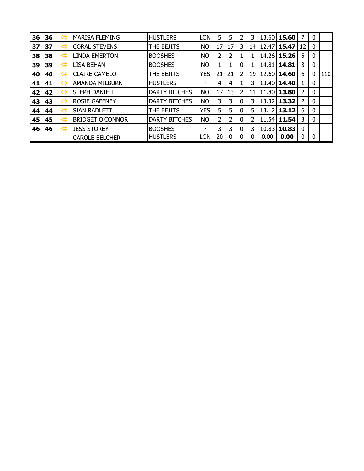| 36 | 36 | ⇔                 | <b>MARISA FLEMING</b>   | <b>HUSTLERS</b>      | LON        | 5  | 5  | 2 | 3  |       | 13.60 15.60 | 7        | $\mathbf 0$ |     |
|----|----|-------------------|-------------------------|----------------------|------------|----|----|---|----|-------|-------------|----------|-------------|-----|
| 37 | 37 | ⇔                 | <b>CORAL STEVENS</b>    | THE EEJITS           | <b>NO</b>  | 17 | 17 | 3 | 14 |       | 12.47 15.47 | 12       | 0           |     |
| 38 | 38 | ⇔                 | <b>LINDA EMERTON</b>    | <b>BOOSHES</b>       | <b>NO</b>  | 2  | 2  |   |    | 14.26 | 15.26       | 5        | $\mathbf 0$ |     |
| 39 | 39 | ⇔                 | <b>LISA BEHAN</b>       | <b>BOOSHES</b>       | <b>NO</b>  |    |    | 0 |    | 14.81 | 14.81       | 3        | $\mathbf 0$ |     |
| 40 | 40 | ⇔                 | <b>CLAIRE CAMELO</b>    | THE EEJITS           | <b>YES</b> | 21 | 21 | 2 | 19 | 12.60 | 14.60       | 6        | 0           | 110 |
| 41 | 41 | ⇔                 | <b>AMANDA MILBURN</b>   | <b>HUSTLERS</b>      | ?          | 4  | 4  |   | 3  |       | 13.40 14.40 |          | $\mathbf 0$ |     |
| 42 | 42 | ⇔                 | <b>STEPH DANIELL</b>    | <b>DARTY BITCHES</b> | <b>NO</b>  | 17 | 13 | 2 | 11 | 11.80 | 13.80       | 2        | $\mathbf 0$ |     |
| 43 | 43 | $\Leftrightarrow$ | <b>ROSIE GAFFNEY</b>    | <b>DARTY BITCHES</b> | <b>NO</b>  | 3  | 3  | 0 | 3  | 13.32 | 13.32       | 2        | $\mathbf 0$ |     |
| 44 | 44 | ⇔                 | <b>SIAN RADLETT</b>     | THE EEJITS           | <b>YES</b> | 5  | 5  | 0 | 5  | 13.12 | 13.12       | 6        | $\mathbf 0$ |     |
| 45 | 45 | ⇔                 | <b>BRIDGET O'CONNOR</b> | <b>DARTY BITCHES</b> | <b>NO</b>  | 2  | 2  | 0 | 2  | 11.54 | 11.54       | 3        | 0           |     |
| 46 | 46 | ⇔                 | <b>JESS STOREY</b>      | <b>BOOSHES</b>       | 2          | 3  | 3  | 0 | 3  | 10.83 | 10.83       | 0        |             |     |
|    |    |                   | <b>CAROLE BELCHER</b>   | <b>HUSTLERS</b>      | LON        | 20 | 0  | 0 | 0  | 0.00  | 0.00        | $\Omega$ | 0           |     |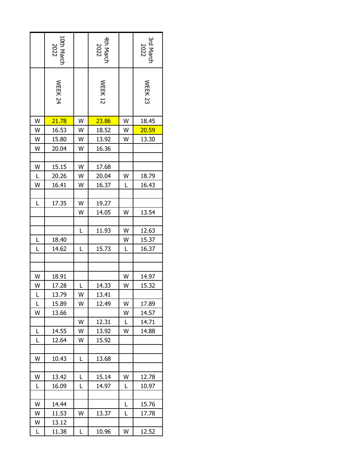|    | 10th March<br>2022 |   | 4th March<br>2022 |   | 3rd March<br>$1022$ |
|----|--------------------|---|-------------------|---|---------------------|
|    | WEEK <sub>24</sub> |   | <b>WEEK 12</b>    |   | <b>WEEK 23</b>      |
| W  | 21.78              | W | 23.86             | W | 18.45               |
| W  | 16.53              | W | 18.52             | W | 20.59               |
| W  | 15.80              | W | 13.92             | W | 13.30               |
| W  | 20.04              | W | 16.36             |   |                     |
|    |                    |   |                   |   |                     |
| W  | 15.15              | W | 17.68             |   |                     |
| L  | 20.26              | W | 20.04             | W | 18.79               |
| W  | 16.41              | W | 16.37             | L | 16.43               |
|    |                    |   |                   |   |                     |
| Г  | 17.35              | W | 19.27             |   |                     |
|    |                    | W | 14.05             | W | 13.54               |
|    |                    |   |                   |   |                     |
|    |                    | L | 11.93             | W | 12.63               |
| L  | 18.40              |   |                   | W | 15.37               |
| Ĺ  | 14.62              | L | 15.73             | L | 16.37               |
|    |                    |   |                   |   |                     |
|    |                    |   |                   |   |                     |
| W  | 18.91              |   |                   | W | 14.97               |
| W  | 17.28              | L | 14.33             | W | 15.32               |
| L  | 13.79              | W | 13.41             |   |                     |
| L. | 15.89              | W | 12.49             | W | 17.89               |
| W  | 13.66              |   |                   | W | 14.57               |
|    |                    | W | 12.31             | L | 14.71               |
| L  | 14.55              | W | 13.92             | W | 14.88               |
| L  | 12.64              | W | 15.92             |   |                     |
|    |                    |   |                   |   |                     |
| W  | 10.43              | Г | 13.68             |   |                     |
|    |                    |   |                   |   |                     |
| W  | 13.42              | Г | 15.14             | W | 12.78               |
| L  | 16.09              | L | 14.97             | L | 10.97               |
| W  | 14.44              |   |                   | L | 15.76               |
| W  | 11.53              | W | 13.37             | L | 17.78               |
| W  | 13.12              |   |                   |   |                     |
|    | 11.38              | L | 10.96             | W | 12.52               |
| L  |                    |   |                   |   |                     |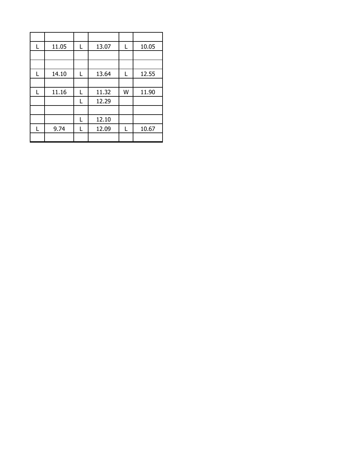| 11.05 | L | 13.07 | L | 10.05 |
|-------|---|-------|---|-------|
|       |   |       |   |       |
|       |   |       |   |       |
| 14.10 | L | 13.64 | L | 12.55 |
|       |   |       |   |       |
| 11.16 | L | 11.32 | W | 11.90 |
|       | L | 12.29 |   |       |
|       |   |       |   |       |
|       | L | 12.10 |   |       |
| 9.74  | L | 12.09 |   | 10.67 |
|       |   |       |   |       |